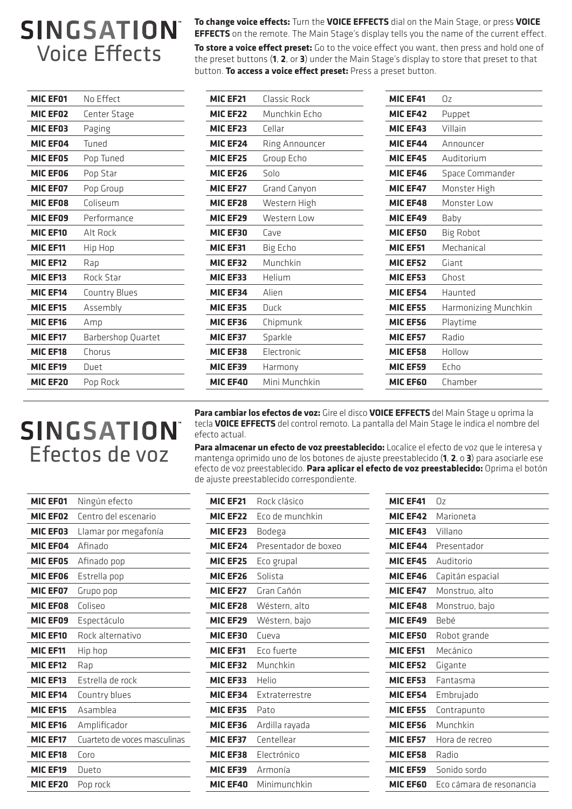## **SINGSATION** Voice Effects

| <b>MIC EF01</b> | No Effect          |
|-----------------|--------------------|
| MIC EF02        | Center Stage       |
| MIC EF03        | Paging             |
| <b>MIC EF04</b> | Tuned              |
| <b>MIC EF05</b> | Pop Tuned          |
| MIC EF06        | Pop Star           |
| MIC EF07        | Pop Group          |
| <b>MIC EF08</b> | Coliseum           |
| MIC EF09        | Performance        |
| <b>MIC EF10</b> | Alt Rock           |
| <b>MIC EF11</b> | Hip Hop            |
| <b>MIC EF12</b> | Rap                |
| MIC EF13        | Rock Star          |
| <b>MIC EF14</b> | Country Blues      |
| <b>MIC EF15</b> | Assembly           |
| MIC EF16        | Amp                |
| <b>MIC EF17</b> | Barbershop Quartet |
| <b>MIC EF18</b> | Chorus             |
| MIC EF19        | Duet               |
| MIC EF20        | Pop Rock           |

**To change voice effects:** Turn the **VOICE EFFECTS** dial on the Main Stage, or press **VOICE EFFECTS** on the remote. The Main Stage's display tells you the name of the current effect.

**To store a voice effect preset:** Go to the voice effect you want, then press and hold one of the preset buttons (**1**, **2**, or **3**) under the Main Stage's display to store that preset to that button. **To access a voice effect preset:** Press a preset button.

| Munchkin Echo<br>MIC EF22<br>MIC EF42<br>Puppet<br>Cellar<br><b>MIC EF23</b><br>MIC EF43<br>Villain<br>MIC EF24<br>Ring Announcer<br><b>MIC EF44</b><br>Announcer<br>Auditorium<br>MIC EF25<br>Group Echo<br><b>MIC EF45</b><br>MIC EF26<br>Solo<br>MIC EF46<br>Space Commander<br>MIC EF27<br><b>Grand Canyon</b><br>MIC EF47<br>Monster High<br>MIC EF28<br>Western High<br>MIC EF48<br>Monster Low<br>MIC EF29<br>Western Low<br>MIC EF49<br>Baby<br><b>Big Robot</b><br><b>MIC EF30</b><br><b>MIC EF50</b><br>Cave<br>Mechanical<br>MIC EF31<br>Big Echo<br><b>MIC EF51</b><br>Munchkin<br>MIC EF32<br>MIC EF52<br>Giant<br>Helium<br>MIC EF33<br>MIC EF53<br>Ghost<br>MIC EF34<br>Alien<br>MIC EF54<br>Haunted<br>Harmonizing Munchkin<br>MIC EF35<br>MIC EF55<br>Duck<br>MIC EF36<br>Chipmunk<br>MIC EF56<br>Playtime<br>Radio<br>MIC EF37<br>Sparkle<br>MIC EF57<br>MIC EF38<br>Electronic<br>MIC EF58<br>Hollow<br>MIC EF39<br><b>MIC EF59</b><br>Echo<br>Harmony | MIC EF21 | Classic Rock  | MIC EF41        | 0z      |
|---------------------------------------------------------------------------------------------------------------------------------------------------------------------------------------------------------------------------------------------------------------------------------------------------------------------------------------------------------------------------------------------------------------------------------------------------------------------------------------------------------------------------------------------------------------------------------------------------------------------------------------------------------------------------------------------------------------------------------------------------------------------------------------------------------------------------------------------------------------------------------------------------------------------------------------------------------------------------|----------|---------------|-----------------|---------|
|                                                                                                                                                                                                                                                                                                                                                                                                                                                                                                                                                                                                                                                                                                                                                                                                                                                                                                                                                                           |          |               |                 |         |
|                                                                                                                                                                                                                                                                                                                                                                                                                                                                                                                                                                                                                                                                                                                                                                                                                                                                                                                                                                           |          |               |                 |         |
|                                                                                                                                                                                                                                                                                                                                                                                                                                                                                                                                                                                                                                                                                                                                                                                                                                                                                                                                                                           |          |               |                 |         |
|                                                                                                                                                                                                                                                                                                                                                                                                                                                                                                                                                                                                                                                                                                                                                                                                                                                                                                                                                                           |          |               |                 |         |
|                                                                                                                                                                                                                                                                                                                                                                                                                                                                                                                                                                                                                                                                                                                                                                                                                                                                                                                                                                           |          |               |                 |         |
|                                                                                                                                                                                                                                                                                                                                                                                                                                                                                                                                                                                                                                                                                                                                                                                                                                                                                                                                                                           |          |               |                 |         |
|                                                                                                                                                                                                                                                                                                                                                                                                                                                                                                                                                                                                                                                                                                                                                                                                                                                                                                                                                                           |          |               |                 |         |
|                                                                                                                                                                                                                                                                                                                                                                                                                                                                                                                                                                                                                                                                                                                                                                                                                                                                                                                                                                           |          |               |                 |         |
|                                                                                                                                                                                                                                                                                                                                                                                                                                                                                                                                                                                                                                                                                                                                                                                                                                                                                                                                                                           |          |               |                 |         |
|                                                                                                                                                                                                                                                                                                                                                                                                                                                                                                                                                                                                                                                                                                                                                                                                                                                                                                                                                                           |          |               |                 |         |
|                                                                                                                                                                                                                                                                                                                                                                                                                                                                                                                                                                                                                                                                                                                                                                                                                                                                                                                                                                           |          |               |                 |         |
|                                                                                                                                                                                                                                                                                                                                                                                                                                                                                                                                                                                                                                                                                                                                                                                                                                                                                                                                                                           |          |               |                 |         |
|                                                                                                                                                                                                                                                                                                                                                                                                                                                                                                                                                                                                                                                                                                                                                                                                                                                                                                                                                                           |          |               |                 |         |
|                                                                                                                                                                                                                                                                                                                                                                                                                                                                                                                                                                                                                                                                                                                                                                                                                                                                                                                                                                           |          |               |                 |         |
|                                                                                                                                                                                                                                                                                                                                                                                                                                                                                                                                                                                                                                                                                                                                                                                                                                                                                                                                                                           |          |               |                 |         |
|                                                                                                                                                                                                                                                                                                                                                                                                                                                                                                                                                                                                                                                                                                                                                                                                                                                                                                                                                                           |          |               |                 |         |
|                                                                                                                                                                                                                                                                                                                                                                                                                                                                                                                                                                                                                                                                                                                                                                                                                                                                                                                                                                           |          |               |                 |         |
|                                                                                                                                                                                                                                                                                                                                                                                                                                                                                                                                                                                                                                                                                                                                                                                                                                                                                                                                                                           |          |               |                 |         |
|                                                                                                                                                                                                                                                                                                                                                                                                                                                                                                                                                                                                                                                                                                                                                                                                                                                                                                                                                                           | MIC EF40 | Mini Munchkin | <b>MIC EF60</b> | Chamber |

**Para cambiar los efectos de voz:** Gire el disco **VOICE EFFECTS** del Main Stage u oprima la tecla **VOICE EFFECTS** del control remoto. La pantalla del Main Stage le indica el nombre del efecto actual.

**Para almacenar un efecto de voz preestablecido:** Localice el efecto de voz que le interesa y mantenga oprimido uno de los botones de ajuste preestablecido (**1**, **2**, o **3**) para asociarle ese efecto de voz preestablecido. **Para aplicar el efecto de voz preestablecido:** Oprima el botón de ajuste preestablecido correspondiente.

| MIC EF01        | Ningún efecto                |
|-----------------|------------------------------|
| <b>MIC EF02</b> | Centro del escenario         |
| <b>MIC EF03</b> | Llamar por megafonía         |
| MIC EF04        | Afinado                      |
| <b>MIC EF05</b> | Afinado pop                  |
| <b>MIC EF06</b> | Estrella pop                 |
| <b>MIC EF07</b> | Grupo pop                    |
| <b>MIC EF08</b> | Coliseo                      |
| MIC EF09        | Espectáculo                  |
| <b>MIC EF10</b> | Rock alternativo             |
| <b>MIC EF11</b> | Hip hop                      |
| <b>MIC EF12</b> | Rap                          |
| <b>MIC EF13</b> | Estrella de rock             |
| <b>MIC EF14</b> | Country blues                |
| <b>MIC EF15</b> | Asamblea                     |
| MIC EF16        | Amplificador                 |
| <b>MIC EF17</b> | Cuarteto de voces masculinas |
| <b>MIC EF18</b> | Coro                         |
| <b>MIC EF19</b> | Dueto                        |
| <b>MIC EF20</b> | Pop rock                     |

| <b>MIC EF21</b>      | Rock clásico          |
|----------------------|-----------------------|
| MIC EF <sub>22</sub> | Eco de munchkin       |
| MIC EF23             | Bodega                |
| MIC EF <sub>24</sub> | Presentador de boxeo  |
| <b>MIC EF25</b>      | Eco grupal            |
| MIC EF26             | Solista               |
| <b>MIC EF27</b>      | Gran Cañón            |
| MIC EF28             | Wéstern, alto         |
| MIC EF29             | Wéstern, bajo         |
| MIC EF30             | Cueva                 |
|                      |                       |
| <b>MIC EF31</b>      | Eco fuerte            |
| MIC EF32             | Munchkin              |
| MIC EF33             | Helin                 |
| MIC EF34             | <b>Fxtraterrestre</b> |
| MIC EF35             | Pato                  |
| MIC EF36             | Ardilla rayada        |
| MIC EF37             | Centellear            |
| MIC EF38             | Electrónico           |
| MIC EF39             | Armonía               |
| MIC EF40             | Minimunchkin          |

| <b>MIC EF41</b> | 0z                       |
|-----------------|--------------------------|
| <b>MIC EF42</b> | Marioneta                |
| MIC EF43        | Villano                  |
| <b>MIC EF44</b> | Presentador              |
| <b>MIC EF45</b> | Auditorio                |
| MIC EF46        | Capitán espacial         |
| <b>MIC EF47</b> | Monstruo, alto           |
| MIC EF48        | Monstruo, bajo           |
| MIC EF49        | Bebé                     |
| <b>MIC EF50</b> | Robot grande             |
| <b>MIC EF51</b> | Mecánico                 |
|                 |                          |
| <b>MIC EF52</b> | Gigante                  |
| <b>MIC EF53</b> | Fantasma                 |
| MIC EF54        | Embrujado                |
| <b>MIC EF55</b> | Contrapunto              |
| MIC EF56        | Munchkin                 |
| MIC EF57        | Hora de recreo           |
| <b>MIC EF58</b> | Radio                    |
| <b>MIC EF59</b> | Sonido sordo             |
| MIC EF60        | Eco cámara de resonancia |

## SINGSATION® Efectos de voz